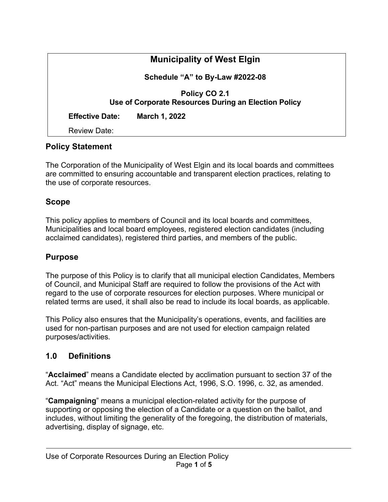| <b>Municipality of West Elgin</b>                                     |               |
|-----------------------------------------------------------------------|---------------|
| Schedule "A" to By-Law #2022-08                                       |               |
| Policy CO 2.1<br>Use of Corporate Resources During an Election Policy |               |
| <b>Effective Date:</b>                                                | March 1, 2022 |
| <b>Review Date:</b>                                                   |               |

#### **Policy Statement**

The Corporation of the Municipality of West Elgin and its local boards and committees are committed to ensuring accountable and transparent election practices, relating to the use of corporate resources.

#### **Scope**

This policy applies to members of Council and its local boards and committees, Municipalities and local board employees, registered election candidates (including acclaimed candidates), registered third parties, and members of the public.

#### **Purpose**

The purpose of this Policy is to clarify that all municipal election Candidates, Members of Council, and Municipal Staff are required to follow the provisions of the Act with regard to the use of corporate resources for election purposes. Where municipal or related terms are used, it shall also be read to include its local boards, as applicable.

This Policy also ensures that the Municipality's operations, events, and facilities are used for non-partisan purposes and are not used for election campaign related purposes/activities.

#### **1.0 Definitions**

"**Acclaimed**" means a Candidate elected by acclimation pursuant to section 37 of the Act. "Act" means the Municipal Elections Act, 1996, S.O. 1996, c. 32, as amended.

"**Campaigning**" means a municipal election-related activity for the purpose of supporting or opposing the election of a Candidate or a question on the ballot, and includes, without limiting the generality of the foregoing, the distribution of materials, advertising, display of signage, etc.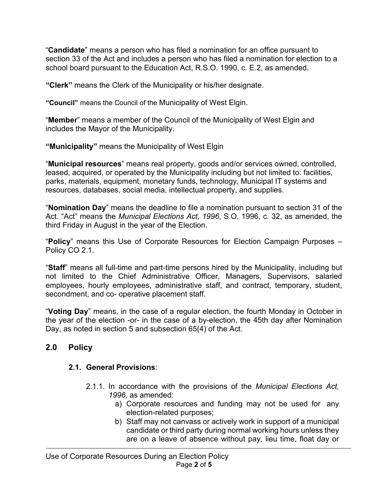"**Candidate**" means a person who has filed a nomination for an office pursuant to section 33 of the Act and includes a person who has filed a nomination for election to a school board pursuant to the Education Act, R.S.O. 1990, c. E.2, as amended.

**"Clerk"** means the Clerk of the Municipality or his/her designate.

**"Council"** means the Council of the Municipality of West Elgin.

"**Member**" means a member of the Council of the Municipality of West Elgin and includes the Mayor of the Municipality.

**"Municipality"** means the Municipality of West Elgin

"**Municipal resources**" means real property, goods and/or services owned, controlled, leased, acquired, or operated by the Municipality including but not limited to: facilities, parks, materials, equipment, monetary funds, technology, Municipal IT systems and resources, databases, social media, intellectual property, and supplies.

"**Nomination Day**" means the deadline to file a nomination pursuant to section 31 of the Act. "Act" means the *Municipal Elections Act, 1996*, S.O. 1996, c. 32, as amended, the third Friday in August in the year of the Election.

"**Policy**" means this Use of Corporate Resources for Election Campaign Purposes – Policy CO 2.1.

"**Staff**" means all full-time and part-time persons hired by the Municipality, including but not limited to the Chief Administrative Officer, Managers, Supervisors, salaried employees, hourly employees, administrative staff, and contract, temporary, student, secondment, and co- operative placement staff.

"**Voting Day**" means, in the case of a regular election, the fourth Monday in October in the year of the election -or- in the case of a by-election, the 45th day after Nomination Day, as noted in section 5 and subsection 65(4) of the Act.

# **2.0 Policy**

# **2.1. General Provisions**:

- 2.1.1. In accordance with the provisions of the *Municipal Elections Act, 1996*, as amended:
	- a) Corporate resources and funding may not be used for any election-related purposes;
	- b) Staff may not canvass or actively work in support of a municipal candidate or third party during normal working hours unless they are on a leave of absence without pay, lieu time, float day or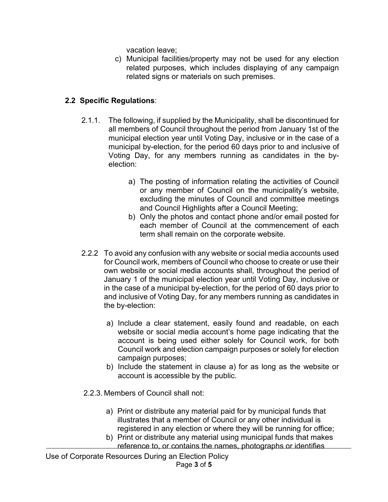vacation leave;

c) Municipal facilities/property may not be used for any election related purposes, which includes displaying of any campaign related signs or materials on such premises.

### **2.2 Specific Regulations**:

- 2.1.1. The following, if supplied by the Municipality, shall be discontinued for all members of Council throughout the period from January 1st of the municipal election year until Voting Day, inclusive or in the case of a municipal by-election, for the period 60 days prior to and inclusive of Voting Day, for any members running as candidates in the byelection:
	- a) The posting of information relating the activities of Council or any member of Council on the municipality's website, excluding the minutes of Council and committee meetings and Council Highlights after a Council Meeting;
	- b) Only the photos and contact phone and/or email posted for each member of Council at the commencement of each term shall remain on the corporate website.
- 2.2.2 To avoid any confusion with any website or social media accounts used for Council work, members of Council who choose to create or use their own website or social media accounts shall, throughout the period of January 1 of the municipal election year until Voting Day, inclusive or in the case of a municipal by-election, for the period of 60 days prior to and inclusive of Voting Day, for any members running as candidates in the by-election:
	- a) Include a clear statement, easily found and readable, on each website or social media account's home page indicating that the account is being used either solely for Council work, for both Council work and election campaign purposes or solely for election campaign purposes;
	- b) Include the statement in clause a) for as long as the website or account is accessible by the public.
- 2.2.3. Members of Council shall not:
	- a) Print or distribute any material paid for by municipal funds that illustrates that a member of Council or any other individual is registered in any election or where they will be running for office;
	- b) Print or distribute any material using municipal funds that makes reference to, or contains the names, photographs or identifies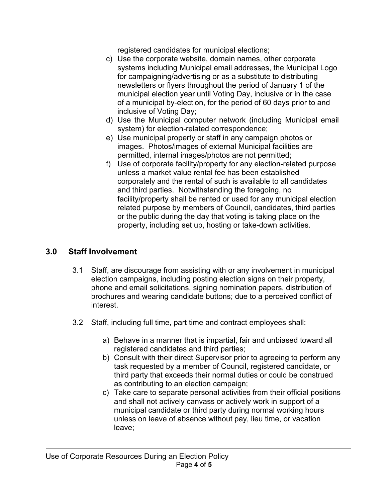registered candidates for municipal elections;

- c) Use the corporate website, domain names, other corporate systems including Municipal email addresses, the Municipal Logo for campaigning/advertising or as a substitute to distributing newsletters or flyers throughout the period of January 1 of the municipal election year until Voting Day, inclusive or in the case of a municipal by-election, for the period of 60 days prior to and inclusive of Voting Day;
- d) Use the Municipal computer network (including Municipal email system) for election-related correspondence;
- e) Use municipal property or staff in any campaign photos or images. Photos/images of external Municipal facilities are permitted, internal images/photos are not permitted;
- f) Use of corporate facility/property for any election-related purpose unless a market value rental fee has been established corporately and the rental of such is available to all candidates and third parties. Notwithstanding the foregoing, no facility/property shall be rented or used for any municipal election related purpose by members of Council, candidates, third parties or the public during the day that voting is taking place on the property, including set up, hosting or take-down activities.

# **3.0 Staff Involvement**

- 3.1 Staff, are discourage from assisting with or any involvement in municipal election campaigns, including posting election signs on their property, phone and email solicitations, signing nomination papers, distribution of brochures and wearing candidate buttons; due to a perceived conflict of interest.
- 3.2 Staff, including full time, part time and contract employees shall:
	- a) Behave in a manner that is impartial, fair and unbiased toward all registered candidates and third parties;
	- b) Consult with their direct Supervisor prior to agreeing to perform any task requested by a member of Council, registered candidate, or third party that exceeds their normal duties or could be construed as contributing to an election campaign;
	- c) Take care to separate personal activities from their official positions and shall not actively canvass or actively work in support of a municipal candidate or third party during normal working hours unless on leave of absence without pay, lieu time, or vacation leave;